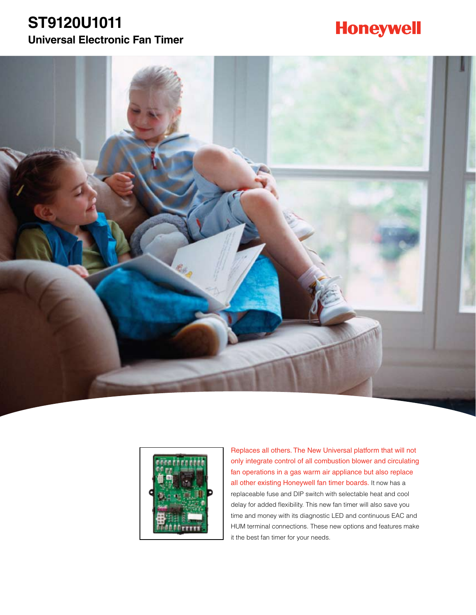### **ST9120U1011 Universal Electronic Fan Timer**

# **Honeywell**





Replaces all others. The New Universal platform that will not only integrate control of all combustion blower and circulating fan operations in a gas warm air appliance but also replace all other existing Honeywell fan timer boards. It now has a replaceable fuse and DIP switch with selectable heat and cool delay for added flexibility. This new fan timer will also save you time and money with its diagnostic LED and continuous EAC and HUM terminal connections. These new options and features make it the best fan timer for your needs.